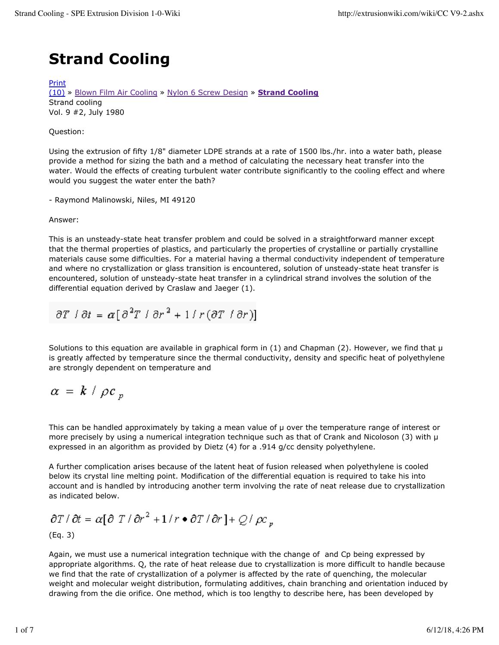## **Strand Cooling**

Print

(10) » Blown Film Air Cooling » Nylon 6 Screw Design » **Strand Cooling** Strand cooling Vol. 9 #2, July 1980

### Question:

Using the extrusion of fifty 1/8" diameter LDPE strands at a rate of 1500 lbs./hr. into a water bath, please provide a method for sizing the bath and a method of calculating the necessary heat transfer into the water. Would the effects of creating turbulent water contribute significantly to the cooling effect and where would you suggest the water enter the bath?

- Raymond Malinowski, Niles, MI 49120

#### Answer:

This is an unsteady-state heat transfer problem and could be solved in a straightforward manner except that the thermal properties of plastics, and particularly the properties of crystalline or partially crystalline materials cause some difficulties. For a material having a thermal conductivity independent of temperature and where no crystallization or glass transition is encountered, solution of unsteady-state heat transfer is encountered, solution of unsteady-state heat transfer in a cylindrical strand involves the solution of the differential equation derived by Craslaw and Jaeger (1).

$$
\partial T \mid \partial t = \alpha \big[\, \partial^2 T \mid \partial r^2 + 1 \, \big| \, r \, (\partial T \mid \partial r) \big]
$$

Solutions to this equation are available in graphical form in (1) and Chapman (2). However, we find that  $\mu$ is greatly affected by temperature since the thermal conductivity, density and specific heat of polyethylene are strongly dependent on temperature and

$$
\alpha = k / \rho c_p
$$

This can be handled approximately by taking a mean value of  $\mu$  over the temperature range of interest or more precisely by using a numerical integration technique such as that of Crank and Nicoloson (3) with  $\mu$ expressed in an algorithm as provided by Dietz (4) for a .914 g/cc density polyethylene.

A further complication arises because of the latent heat of fusion released when polyethylene is cooled below its crystal line melting point. Modification of the differential equation is required to take his into account and is handled by introducing another term involving the rate of neat release due to crystallization as indicated below.

$$
\partial T / \partial t = \alpha [\partial T / \partial r^2 + 1 / r \bullet \partial T / \partial r] + Q / \rho c_p
$$
  
(Eq. 3)

Again, we must use a numerical integration technique with the change of and Cp being expressed by appropriate algorithms. Q, the rate of heat release due to crystallization is more difficult to handle because we find that the rate of crystallization of a polymer is affected by the rate of quenching, the molecular weight and molecular weight distribution, formulating additives, chain branching and orientation induced by drawing from the die orifice. One method, which is too lengthy to describe here, has been developed by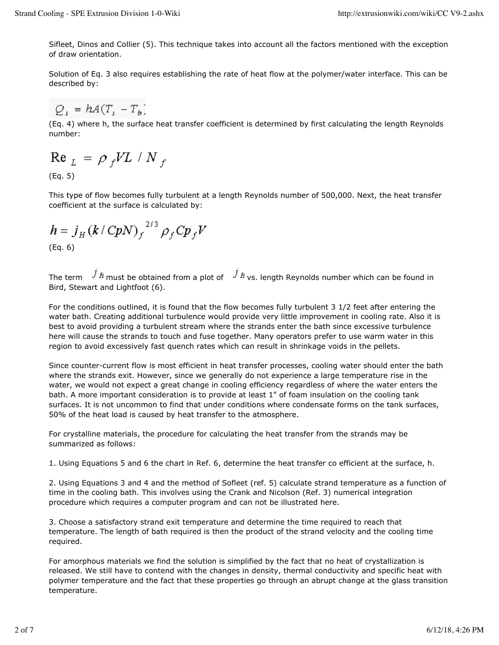Sifleet, Dinos and Collier (5). This technique takes into account all the factors mentioned with the exception of draw orientation.

Solution of Eq. 3 also requires establishing the rate of heat flow at the polymer/water interface. This can be described by:

$$
Q_s = hA(T_s - T_b)
$$

(Eq. 4) where h, the surface heat transfer coefficient is determined by first calculating the length Reynolds number:

$$
\text{Re}_{L} = \rho_f V L / N_f
$$

(Eq. 5)

This type of flow becomes fully turbulent at a length Reynolds number of 500,000. Next, the heat transfer coefficient at the surface is calculated by:

$$
h = j_H (k / C p N)_f^{2/3} \rho_f C p_f V
$$
\n(Eq. 6)

The term  $\overrightarrow{J}$  *H* must be obtained from a plot of  $\overrightarrow{J}$  *H* vs. length Reynolds number which can be found in Bird, Stewart and Lightfoot (6).

For the conditions outlined, it is found that the flow becomes fully turbulent 3 1/2 feet after entering the water bath. Creating additional turbulence would provide very little improvement in cooling rate. Also it is best to avoid providing a turbulent stream where the strands enter the bath since excessive turbulence here will cause the strands to touch and fuse together. Many operators prefer to use warm water in this region to avoid excessively fast quench rates which can result in shrinkage voids in the pellets.

Since counter-current flow is most efficient in heat transfer processes, cooling water should enter the bath where the strands exit. However, since we generally do not experience a large temperature rise in the water, we would not expect a great change in cooling efficiency regardless of where the water enters the bath. A more important consideration is to provide at least 1" of foam insulation on the cooling tank surfaces. It is not uncommon to find that under conditions where condensate forms on the tank surfaces, 50% of the heat load is caused by heat transfer to the atmosphere.

For crystalline materials, the procedure for calculating the heat transfer from the strands may be summarized as follows:

1. Using Equations 5 and 6 the chart in Ref. 6, determine the heat transfer co efficient at the surface, h.

2. Using Equations 3 and 4 and the method of Sofleet (ref. 5) calculate strand temperature as a function of time in the cooling bath. This involves using the Crank and Nicolson (Ref. 3) numerical integration procedure which requires a computer program and can not be illustrated here.

3. Choose a satisfactory strand exit temperature and determine the time required to reach that temperature. The length of bath required is then the product of the strand velocity and the cooling time required.

For amorphous materials we find the solution is simplified by the fact that no heat of crystallization is released. We still have to contend with the changes in density, thermal conductivity and specific heat with polymer temperature and the fact that these properties go through an abrupt change at the glass transition temperature.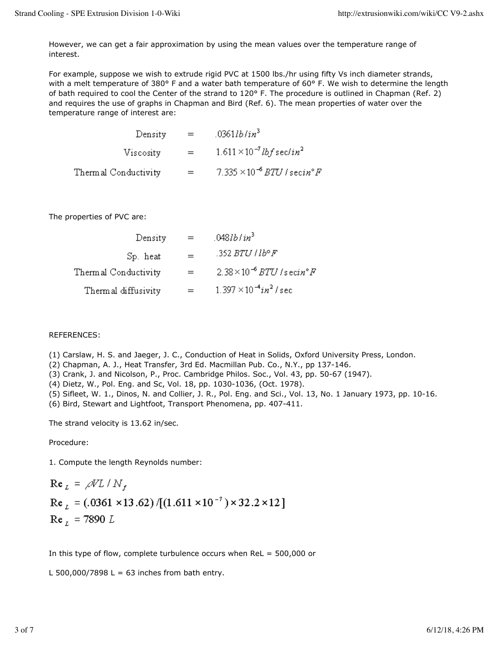However, we can get a fair approximation by using the mean values over the temperature range of interest.

For example, suppose we wish to extrude rigid PVC at 1500 lbs./hr using fifty Vs inch diameter strands, with a melt temperature of 380° F and a water bath temperature of 60° F. We wish to determine the length of bath required to cool the Center of the strand to 120° F. The procedure is outlined in Chapman (Ref. 2) and requires the use of graphs in Chapman and Bird (Ref. 6). The mean properties of water over the temperature range of interest are:

| Density              | $=$ | .0361 lb/in <sup>3</sup>                       |
|----------------------|-----|------------------------------------------------|
| Viscosity            | $=$ | $1.611 \times 10^{-7}$ lbf sec/in <sup>2</sup> |
| Thermal Conductivity | $=$ | $7.335 \times 10^{-6}$ BTU / secin° F          |

The properties of PVC are:

| Density              | $=$ | $.048$ <i>lb</i> / $in^3$                    |
|----------------------|-----|----------------------------------------------|
| Sp. heat             | $=$ | .352 BTU   Ib° F                             |
| Thermal Conductivity | $=$ | $2.38\times10^{-6}$ BTU /secin°F             |
| Thermal diffusivity  |     | $1.397 \times 10^{-4}$ in <sup>2</sup> / sec |

#### REFERENCES:

(1) Carslaw, H. S. and Jaeger, J. C., Conduction of Heat in Solids, Oxford University Press, London.

- (2) Chapman, A. J., Heat Transfer, 3rd Ed. Macmillan Pub. Co., N.Y., pp 137-146.
- (3) Crank, J. and Nicolson, P., Proc. Cambridge Philos. Soc., Vol. 43, pp. 50-67 (1947).
- (4) Dietz, W., Pol. Eng. and Sc, Vol. 18, pp. 1030-1036, (Oct. 1978).
- (5) Sifleet, W. 1., Dinos, N. and Collier, J. R., Pol. Eng. and Sci., Vol. 13, No. 1 January 1973, pp. 10-16.

(6) Bird, Stewart and Lightfoot, Transport Phenomena, pp. 407-411.

The strand velocity is 13.62 in/sec.

Procedure:

1. Compute the length Reynolds number:

Re<sub>L</sub> = 
$$
\rho V L / N_f
$$
  
Re<sub>L</sub> = (.0361 × 13.62) / [(1.611 × 10<sup>-7</sup>) × 32.2 × 12]  
Re<sub>L</sub> = 7890 L

In this type of flow, complete turbulence occurs when ReL = 500,000 or

L 500,000/7898 L = 63 inches from bath entry.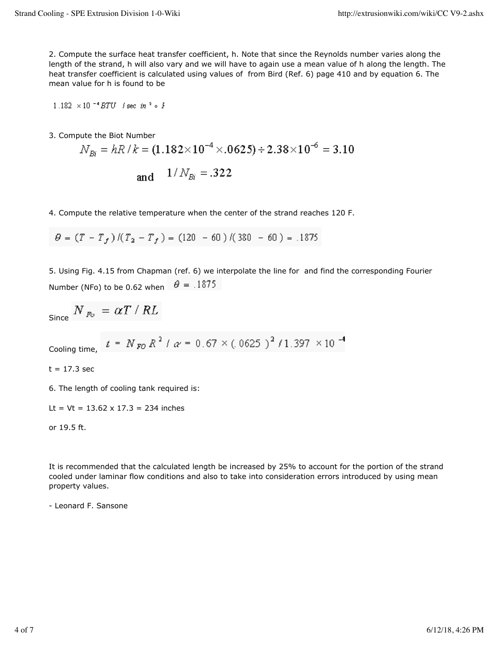2. Compute the surface heat transfer coefficient, h. Note that since the Reynolds number varies along the length of the strand, h will also vary and we will have to again use a mean value of h along the length. The heat transfer coefficient is calculated using values of from Bird (Ref. 6) page 410 and by equation 6. The mean value for h is found to be

1.182  $\times$  10<sup>-4</sup> BTU / sec in  $3 \circ F$ 

3. Compute the Biot Number

$$
N_{Bi} = hR/k = (1.182 \times 10^{-4} \times .0625) \div 2.38 \times 10^{-6} = 3.10
$$
  
and  $1/N_{Bi} = .322$ 

4. Compute the relative temperature when the center of the strand reaches 120 F.

 $\theta = (T - T_f)/(T_2 - T_f) = (120 - 60)/(380 - 60) = .1875$ 

5. Using Fig. 4.15 from Chapman (ref. 6) we interpolate the line for and find the corresponding Fourier Number (NFo) to be 0.62 when  $\theta = .1875$ 

$$
_{\rm Since}~N_{~\mathit{Po}}~=~\alpha T~/~RL
$$

$$
1.397 \times 10^{-4}
$$

 $t = 17.3$  sec

6. The length of cooling tank required is:

Lt =  $Vt = 13.62 \times 17.3 = 234$  inches

or 19.5 ft.

It is recommended that the calculated length be increased by 25% to account for the portion of the strand cooled under laminar flow conditions and also to take into consideration errors introduced by using mean property values.

- Leonard F. Sansone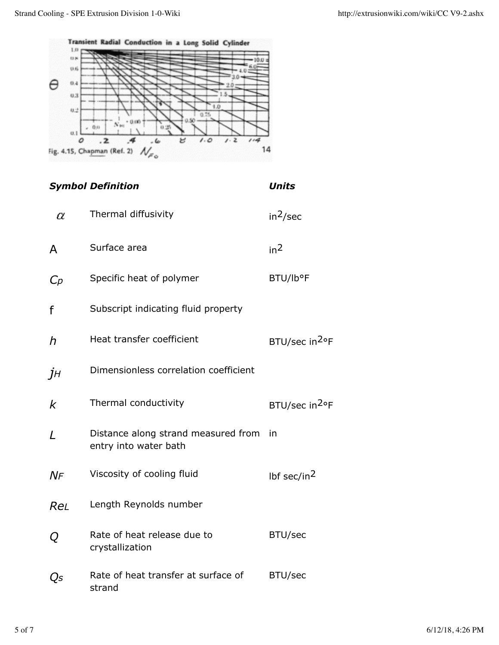

# *Symbol Definition Units* Thermal diffusivity  $in^2/sec$ α  $A$  Surface area  $in^2$ C<sub>p</sub> Specific heat of polymer BTU/lb°F f Subscript indicating fluid property *h* Heat transfer coefficient BTU/sec in<sup>2</sup>°F *jH* Dimensionless correlation coefficient  $k$  Thermal conductivity BTU/sec in<sup>2</sup>°F *L* Distance along strand measured from in entry into water bath  $N_F$  Viscosity of cooling fluid lbf sec/in<sup>2</sup> *ReL* Length Reynolds number *Q* Rate of heat release due to BTU/sec crystallization *Qs* Rate of heat transfer at surface of BTU/sec strand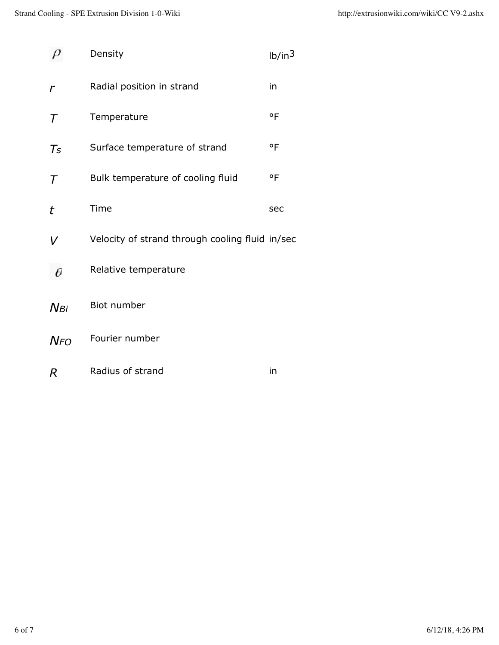|                             | Density                                         | 1b/in <sup>3</sup> |
|-----------------------------|-------------------------------------------------|--------------------|
| r                           | Radial position in strand                       | in                 |
| $\tau$                      | Temperature                                     | $\circ$ F          |
| $\mathcal{T}_{\mathcal{S}}$ | Surface temperature of strand                   | $^{\circ}$ F       |
| $\tau$                      | Bulk temperature of cooling fluid               | $\circ$ F          |
| t                           | Time                                            | sec                |
| V                           | Velocity of strand through cooling fluid in/sec |                    |
| θ                           | Relative temperature                            |                    |
| $N$ Bi                      | Biot number                                     |                    |
| <b>N</b> FO                 | Fourier number                                  |                    |
| R                           | Radius of strand                                | in                 |